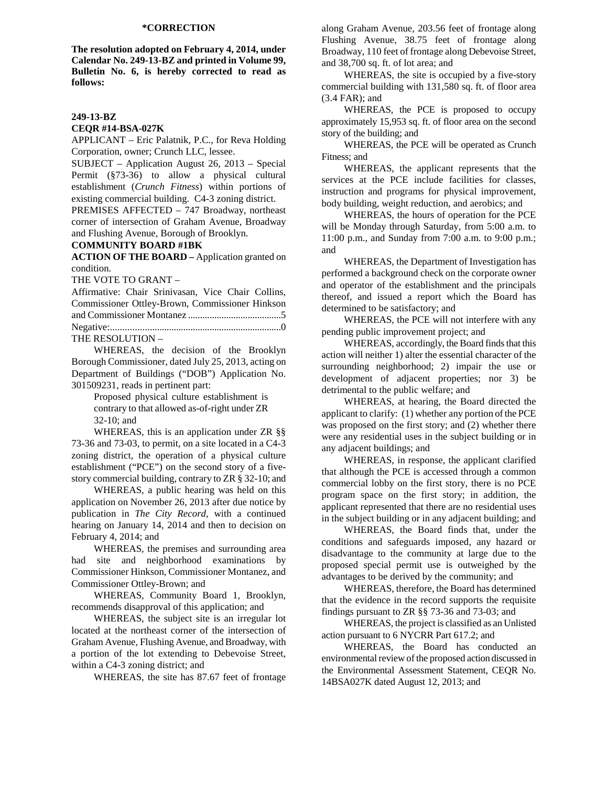## **\*CORRECTION**

**The resolution adopted on February 4, 2014, under Calendar No. 249-13-BZ and printed in Volume 99, Bulletin No. 6, is hereby corrected to read as follows:** 

#### **249-13-BZ**

#### **CEQR #14-BSA-027K**

APPLICANT – Eric Palatnik, P.C., for Reva Holding Corporation, owner; Crunch LLC, lessee.

SUBJECT – Application August 26, 2013 – Special Permit (§73-36) to allow a physical cultural establishment (*Crunch Fitness*) within portions of existing commercial building. C4-3 zoning district.

PREMISES AFFECTED – 747 Broadway, northeast corner of intersection of Graham Avenue, Broadway and Flushing Avenue, Borough of Brooklyn.

## **COMMUNITY BOARD #1BK**

**ACTION OF THE BOARD –** Application granted on condition.

THE VOTE TO GRANT –

| Affirmative: Chair Srinivasan, Vice Chair Collins, |  |  |  |
|----------------------------------------------------|--|--|--|
| Commissioner Ottley-Brown, Commissioner Hinkson    |  |  |  |
|                                                    |  |  |  |
|                                                    |  |  |  |
| <b>TUE BECALITELAL</b>                             |  |  |  |

## THE RESOLUTION –

WHEREAS, the decision of the Brooklyn Borough Commissioner, dated July 25, 2013, acting on Department of Buildings ("DOB") Application No. 301509231, reads in pertinent part:

> Proposed physical culture establishment is contrary to that allowed as-of-right under ZR 32-10; and

WHEREAS, this is an application under ZR §§ 73-36 and 73-03, to permit, on a site located in a C4-3 zoning district, the operation of a physical culture establishment ("PCE") on the second story of a fivestory commercial building, contrary to ZR § 32-10; and

WHEREAS, a public hearing was held on this application on November 26, 2013 after due notice by publication in *The City Record*, with a continued hearing on January 14, 2014 and then to decision on February 4, 2014; and

WHEREAS, the premises and surrounding area had site and neighborhood examinations by Commissioner Hinkson, Commissioner Montanez, and Commissioner Ottley-Brown; and

WHEREAS, Community Board 1, Brooklyn, recommends disapproval of this application; and

WHEREAS, the subject site is an irregular lot located at the northeast corner of the intersection of Graham Avenue, Flushing Avenue, and Broadway, with a portion of the lot extending to Debevoise Street, within a C4-3 zoning district; and

WHEREAS, the site has 87.67 feet of frontage

along Graham Avenue, 203.56 feet of frontage along Flushing Avenue, 38.75 feet of frontage along Broadway, 110 feet of frontage along Debevoise Street, and 38,700 sq. ft. of lot area; and

WHEREAS, the site is occupied by a five-story commercial building with 131,580 sq. ft. of floor area (3.4 FAR); and

WHEREAS, the PCE is proposed to occupy approximately 15,953 sq. ft. of floor area on the second story of the building; and

WHEREAS, the PCE will be operated as Crunch Fitness; and

WHEREAS, the applicant represents that the services at the PCE include facilities for classes, instruction and programs for physical improvement, body building, weight reduction, and aerobics; and

WHEREAS, the hours of operation for the PCE will be Monday through Saturday, from 5:00 a.m. to 11:00 p.m., and Sunday from 7:00 a.m. to 9:00 p.m.; and

WHEREAS, the Department of Investigation has performed a background check on the corporate owner and operator of the establishment and the principals thereof, and issued a report which the Board has determined to be satisfactory; and

WHEREAS, the PCE will not interfere with any pending public improvement project; and

WHEREAS, accordingly, the Board finds that this action will neither 1) alter the essential character of the surrounding neighborhood; 2) impair the use or development of adjacent properties; nor 3) be detrimental to the public welfare; and

WHEREAS, at hearing, the Board directed the applicant to clarify: (1) whether any portion of the PCE was proposed on the first story; and (2) whether there were any residential uses in the subject building or in any adjacent buildings; and

WHEREAS, in response, the applicant clarified that although the PCE is accessed through a common commercial lobby on the first story, there is no PCE program space on the first story; in addition, the applicant represented that there are no residential uses in the subject building or in any adjacent building; and

WHEREAS, the Board finds that, under the conditions and safeguards imposed, any hazard or disadvantage to the community at large due to the proposed special permit use is outweighed by the advantages to be derived by the community; and

WHEREAS, therefore, the Board has determined that the evidence in the record supports the requisite findings pursuant to ZR §§ 73-36 and 73-03; and

WHEREAS, the project is classified as an Unlisted action pursuant to 6 NYCRR Part 617.2; and

WHEREAS, the Board has conducted an environmental review of the proposed action discussed in the Environmental Assessment Statement, CEQR No. 14BSA027K dated August 12, 2013; and